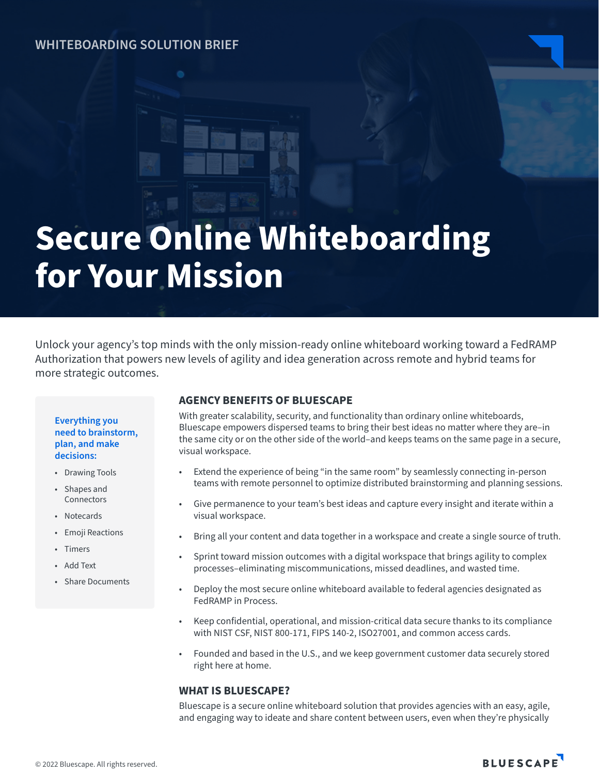# **WHITEBOARDING SOLUTION BRIEF**

# **Secure Online Whiteboarding for Your Mission**

Unlock your agency's top minds with the only mission-ready online whiteboard working toward a FedRAMP Authorization that powers new levels of agility and idea generation across remote and hybrid teams for more strategic outcomes.

#### **Everything you need to brainstorm, plan, and make decisions:**

- Drawing Tools
- Shapes and Connectors
- Notecards
- Emoji Reactions
- Timers
- Add Text
- Share Documents

# **AGENCY BENEFITS OF BLUESCAPE**

With greater scalability, security, and functionality than ordinary online whiteboards, Bluescape empowers dispersed teams to bring their best ideas no matter where they are–in the same city or on the other side of the world–and keeps teams on the same page in a secure, visual workspace.

- Extend the experience of being "in the same room" by seamlessly connecting in-person teams with remote personnel to optimize distributed brainstorming and planning sessions.
- Give permanence to your team's best ideas and capture every insight and iterate within a visual workspace.
- Bring all your content and data together in a workspace and create a single source of truth.
- Sprint toward mission outcomes with a digital workspace that brings agility to complex processes–eliminating miscommunications, missed deadlines, and wasted time.
- Deploy the most secure online whiteboard available to federal agencies designated as FedRAMP in Process.
- Keep confidential, operational, and mission-critical data secure thanks to its compliance with NIST CSF, NIST 800-171, FIPS 140-2, ISO27001, and common access cards.
- Founded and based in the U.S., and we keep government customer data securely stored right here at home.

# **WHAT IS BLUESCAPE?**

Bluescape is a secure online whiteboard solution that provides agencies with an easy, agile, and engaging way to ideate and share content between users, even when they're physically